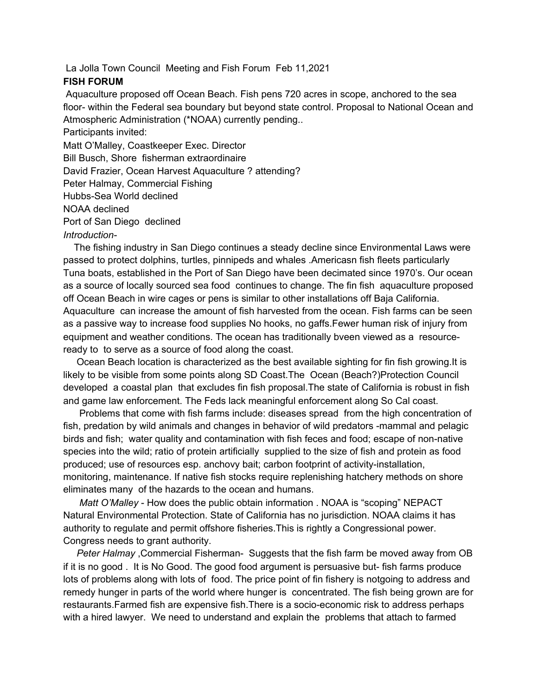La Jolla Town Council Meeting and Fish Forum Feb 11,2021

## **FISH FORUM**

Aquaculture proposed off Ocean Beach. Fish pens 720 acres in scope, anchored to the sea floor- within the Federal sea boundary but beyond state control. Proposal to National Ocean and Atmospheric Administration (\*NOAA) currently pending..

Participants invited:

Matt O'Malley, Coastkeeper Exec. Director

Bill Busch, Shore fisherman extraordinaire

David Frazier, Ocean Harvest Aquaculture ? attending?

Peter Halmay, Commercial Fishing

Hubbs-Sea World declined

NOAA declined

Port of San Diego declined

*Introduction-*

The fishing industry in San Diego continues a steady decline since Environmental Laws were passed to protect dolphins, turtles, pinnipeds and whales .Americasn fish fleets particularly Tuna boats, established in the Port of San Diego have been decimated since 1970's. Our ocean as a source of locally sourced sea food continues to change. The fin fish aquaculture proposed off Ocean Beach in wire cages or pens is similar to other installations off Baja California. Aquaculture can increase the amount of fish harvested from the ocean. Fish farms can be seen as a passive way to increase food supplies No hooks, no gaffs.Fewer human risk of injury from equipment and weather conditions. The ocean has traditionally bveen viewed as a resourceready to to serve as a source of food along the coast.

Ocean Beach location is characterized as the best available sighting for fin fish growing.It is likely to be visible from some points along SD Coast.The Ocean (Beach?)Protection Council developed a coastal plan that excludes fin fish proposal.The state of California is robust in fish and game law enforcement. The Feds lack meaningful enforcement along So Cal coast.

Problems that come with fish farms include: diseases spread from the high concentration of fish, predation by wild animals and changes in behavior of wild predators -mammal and pelagic birds and fish; water quality and contamination with fish feces and food; escape of non-native species into the wild; ratio of protein artificially supplied to the size of fish and protein as food produced; use of resources esp. anchovy bait; carbon footprint of activity-installation, monitoring, maintenance. If native fish stocks require replenishing hatchery methods on shore eliminates many of the hazards to the ocean and humans.

*Matt O'Malley* - How does the public obtain information . NOAA is "scoping" NEPACT Natural Environmental Protection. State of California has no jurisdiction. NOAA claims it has authority to regulate and permit offshore fisheries.This is rightly a Congressional power. Congress needs to grant authority.

*Peter Halmay* ,Commercial Fisherman- Suggests that the fish farm be moved away from OB if it is no good . It is No Good. The good food argument is persuasive but- fish farms produce lots of problems along with lots of food. The price point of fin fishery is notgoing to address and remedy hunger in parts of the world where hunger is concentrated. The fish being grown are for restaurants.Farmed fish are expensive fish.There is a socio-economic risk to address perhaps with a hired lawyer. We need to understand and explain the problems that attach to farmed